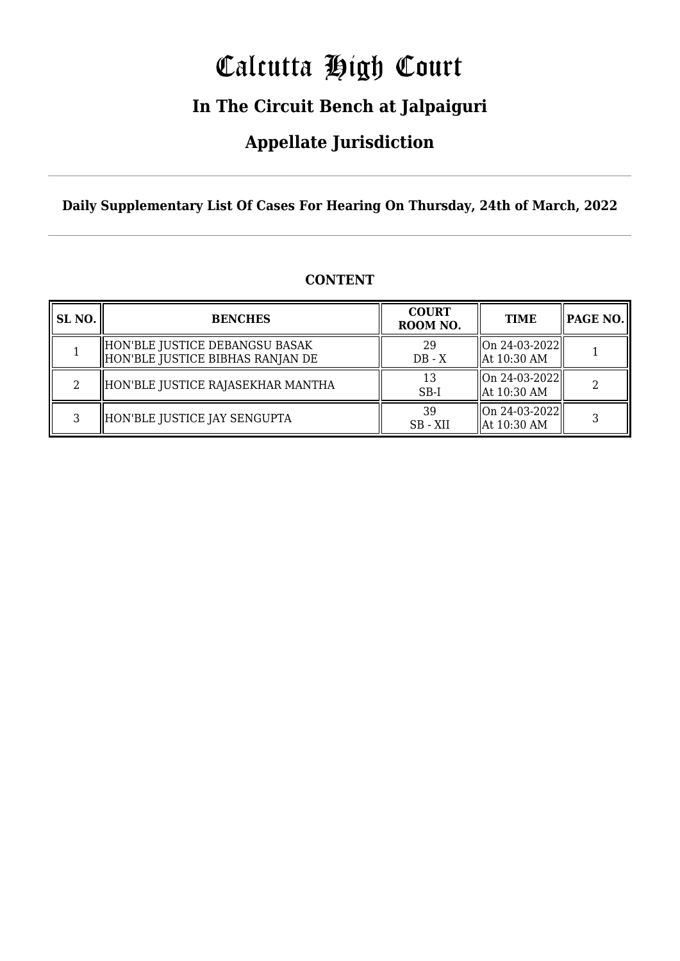# Calcutta High Court

### **In The Circuit Bench at Jalpaiguri**

### **Appellate Jurisdiction**

**Daily Supplementary List Of Cases For Hearing On Thursday, 24th of March, 2022**

| SL <sub>NO.</sub> | <b>BENCHES</b>                                                     | <b>COURT</b><br>ROOM NO. | <b>TIME</b>                                | <b>PAGE NO.</b> |
|-------------------|--------------------------------------------------------------------|--------------------------|--------------------------------------------|-----------------|
|                   | HON'BLE JUSTICE DEBANGSU BASAK<br>HON'BLE JUSTICE BIBHAS RANJAN DE | 29<br>$DB - X$           | On 24-03-2022  <br>$\parallel$ At 10:30 AM |                 |
| റ                 | HON'BLE JUSTICE RAJASEKHAR MANTHA                                  | 13<br>$SB-I$             | On 24-03-2022  <br>$\parallel$ At 10:30 AM |                 |
| ર                 | HON'BLE JUSTICE JAY SENGUPTA                                       | 39<br>SB - XII           | $\ $ On 24-03-2022 $\ $<br>  At 10:30 AM   |                 |

#### **CONTENT**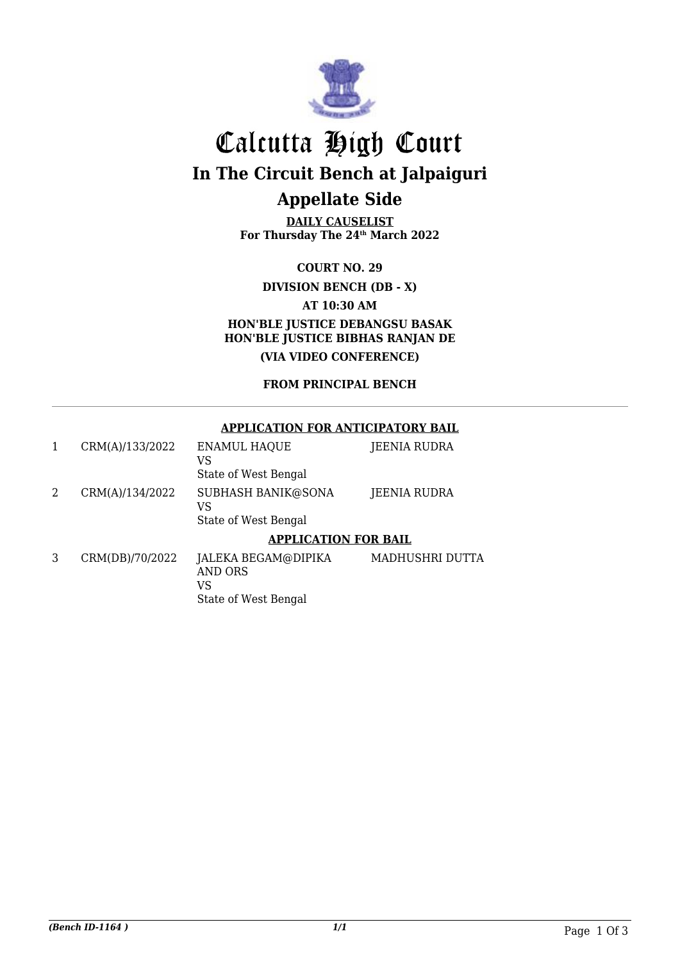

## Calcutta High Court **In The Circuit Bench at Jalpaiguri Appellate Side**

**DAILY CAUSELIST For Thursday The 24th March 2022**

**COURT NO. 29**

**DIVISION BENCH (DB - X)**

**AT 10:30 AM**

**HON'BLE JUSTICE DEBANGSU BASAK HON'BLE JUSTICE BIBHAS RANJAN DE (VIA VIDEO CONFERENCE)**

**FROM PRINCIPAL BENCH**

#### **APPLICATION FOR ANTICIPATORY BAIL**

|   | CRM(A)/133/2022 | <b>ENAMUL HAQUE</b><br>VS                                    | JEENIA RUDRA    |  |
|---|-----------------|--------------------------------------------------------------|-----------------|--|
|   |                 | State of West Bengal                                         |                 |  |
| 2 | CRM(A)/134/2022 | SUBHASH BANIK@SONA<br>VS                                     | JEENIA RUDRA    |  |
|   |                 | State of West Bengal                                         |                 |  |
|   |                 | <b>APPLICATION FOR BAIL</b>                                  |                 |  |
| 3 | CRM(DB)/70/2022 | JALEKA BEGAM@DIPIKA<br>AND ORS<br>VS<br>State of West Bengal | MADHUSHRI DUTTA |  |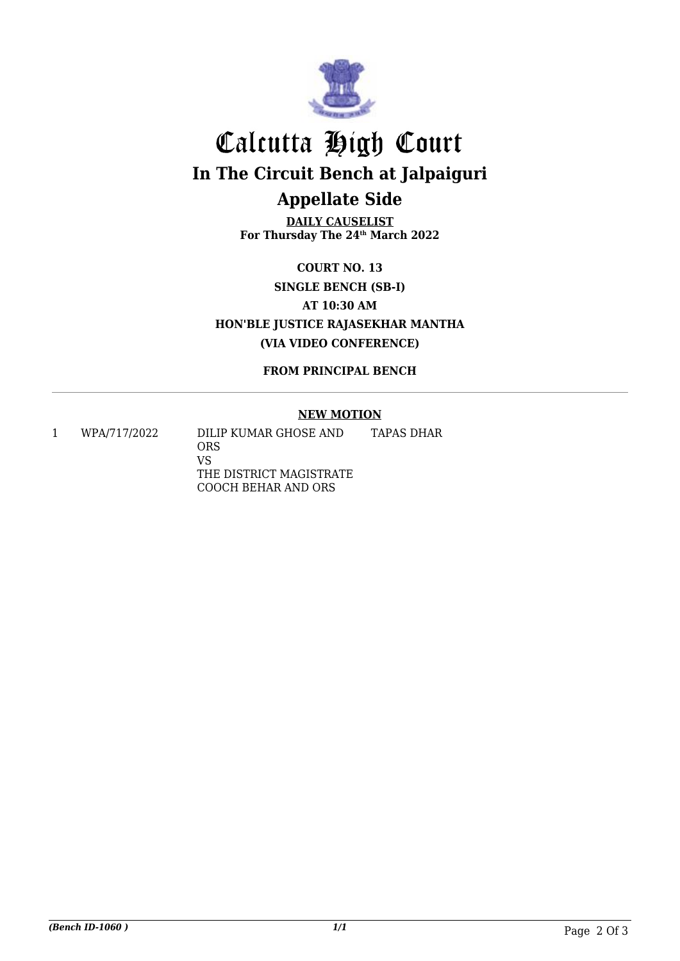

## Calcutta High Court **In The Circuit Bench at Jalpaiguri Appellate Side**

**DAILY CAUSELIST For Thursday The 24th March 2022**

**COURT NO. 13 SINGLE BENCH (SB-I) AT 10:30 AM HON'BLE JUSTICE RAJASEKHAR MANTHA (VIA VIDEO CONFERENCE)**

**FROM PRINCIPAL BENCH**

#### **NEW MOTION**

1 WPA/717/2022 DILIP KUMAR GHOSE AND ORS VS THE DISTRICT MAGISTRATE COOCH BEHAR AND ORS TAPAS DHAR